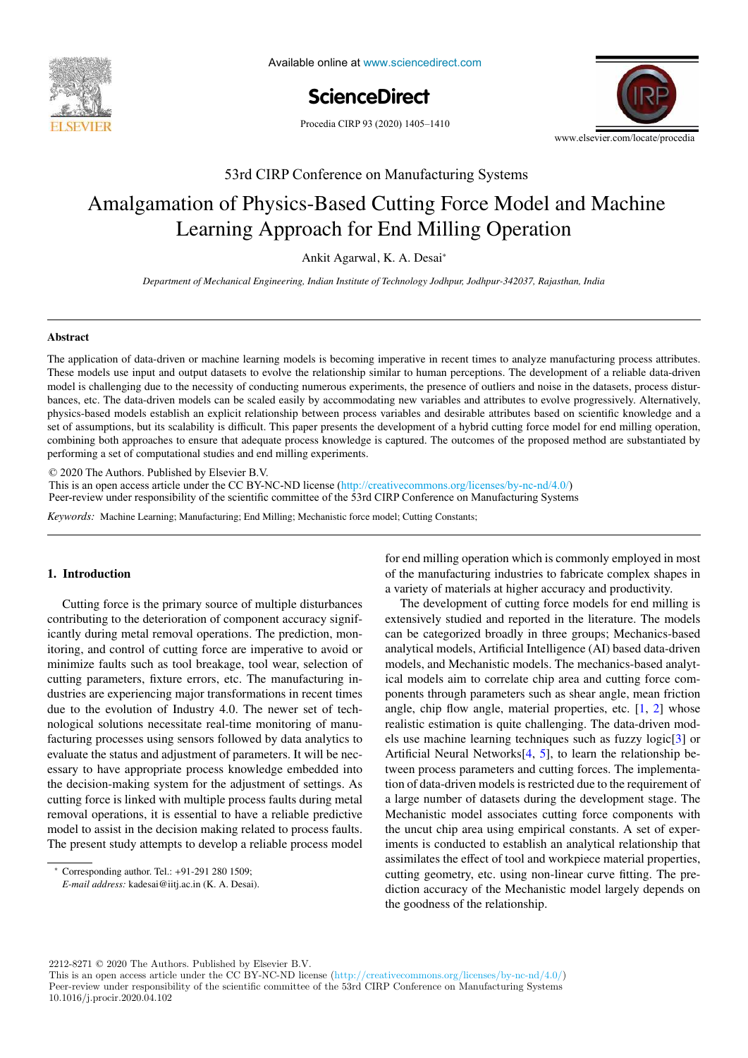

Available online at www.sciencedirect.com



Procedia CIRP 93 (2020) 1405-1410



53rd CIRP Conference on Manufacturing Systems

# Amalgamation of Physics-Based Cutting Force Model and Machine Learning Approach for End Milling Operation

Ankit Agarwal, K. A. Desai<sup>∗</sup>

existing products for an assembly oriented product family identification *Department of Mechanical Engineering, Indian Institute of Technology Jodhpur, Jodhpur-342037, Rajasthan, India*

Paul Stief \*, Jean-Yves Dantan, Alain Etienne, Ali Siadat

### Abstract

These models use input and output datasets to evolve the relationship similar to human perceptions. The development of a reliable data-driven et of assumptions, but its scalability is difficult. This paper presents the development of a hybrid cutting force model for end milling operation, performing a set of computational studies and end milling experiments. The application of data-driven or machine learning models is becoming imperative in recent times to analyze manufacturing process attributes. model is challenging due to the necessity of conducting numerous experiments, the presence of outliers and noise in the datasets, process disturbances, etc. The data-driven models can be scaled easily by accommodating new variables and attributes to evolve progressively. Alternatively, physics-based models establish an explicit relationship between process variables and desirable attributes based on scientific knowledge and a combining both approaches to ensure that adequate process knowledge is captured. The outcomes of the proposed method are substantiated by

these products in new assembly oriented product families for the optimization of existing assembly lines and the creation of future reconfigurable

© 2020 The Authors. Published by Elsevier B.V.

 $\degree$  2020 The Additions. Fubrished by Eisevier B.V.<br>This is an open access article under the CC BY-NC-ND license (http://creativecommons.org/licenses/by-nc-nd/4.0/) Thus is an open access a product ancient or  $\mathbf{c}_1 \mathbf{a}_2 \mathbf{b}_3$  include the physical level. Differences on  $\mathbf{M}$  and  $\mathbf{c}_2 \mathbf{b}_3$  in the number and  $\mathbf{c}_3 \mathbf{b}_3$  is the number and  $\mathbf{c}_4 \mathbf{b}_5$  is the num Peer-review under responsibility of the scientific committee of the 53rd CIRP Conference on Manufacturing Systems

Keywords: Machine Learning; Manufacturing; End Milling; Mechanistic force model; Cutting Constants;

## 1. Introduction

Cutting force is the primary source of multiple disturbances The development of cutting contributing to the deterioration of component accuracy significantly during metal removal operations. The prediction, mon-can be categorized broadl minimize faults such as tool breakage, tool wear, selection of due to the evolution of Industry 4.0. The newer set of techfacturing processes using sensors followed by data analytics to evaluate the status and adjustment of parameters. It will be necessary to have appropriate process knowledge embedded into the decision-making system for the adjustment of settings. As cutting force is linked with multiple process faults during metal removal operations, it is essential to have a reliable predictive model to assist in the decision making related to process faults. The present study attempts to develop a reliable process model itoring, and control of cutting force are imperative to avoid or cutting parameters, fixture errors, etc. The manufacturing industries are experiencing major transformations in recent times nological solutions necessitate real-time monitoring of manu-

for end milling operation which is commonly employed in most **1. Introduction of the manufacturing industries to fabricate complex shapes in of the manufacturing industries to fabricate complex shapes in** a variety of materials at higher accuracy and productivity.

> angle, chip flow angle, material properties, etc.  $[1, 2]$  whose realistic estimation is quite challenging. The data-driven models use machine learning techniques such as fuzzy logic[3] or Artificial Neural Networks $[4, 5]$ , to learn the relationship between process parameters and cutting forces. The implementation of data-driven models is restricted due to the requirement of a large number of datasets during the development stage. The Mechanistic model associates cutting force components with the uncut chip area using empirical constants. A set of experiments is conducted to establish an analytical relationship that assimilates the effect of tool and workpiece material properties, cutting geometry, etc. using non-linear curve fitting. The prediction accuracy of the Mechanistic model largely depends on the goodness of the relationship. The development of cutting force models for end milling is extensively studied and reported in the literature. The models can be categorized broadly in three groups; Mechanics-based analytical models, Artificial Intelligence (AI) based data-driven models, and Mechanistic models. The mechanics-based analytical models aim to correlate chip area and cutting force components through parameters such as shear angle, mean friction

2212-8271 © 2020 The Authors. Published by Elsevier B.V.

This is an open access article under the CC BY-NC-ND license (http://creativecommons.org/licenses/by-nc-nd/4.0/) Peer-review under responsibility of the scientific committee of the 53rd CIRP Conference on Manufacturing Systems 10.1016/j.procir.2020.04.102

 $\overline{\text{``Corresponding author. Tel.: +91-291 280 1509}}$ 

Conceptually author. For  $\frac{1}{2}$  and  $\frac{1}{2}$  and  $\frac{1}{2}$  and  $\frac{1}{2}$  and  $\frac{1}{2}$  and  $\frac{1}{2}$  and  $\frac{1}{2}$  and  $\frac{1}{2}$  and  $\frac{1}{2}$  and  $\frac{1}{2}$  and  $\frac{1}{2}$  and  $\frac{1}{2}$  and  $\frac{1}{2}$  and  $\frac{1}{2}$  and E-mail address: kadesai@iitj.ac.in (K. A. Desai).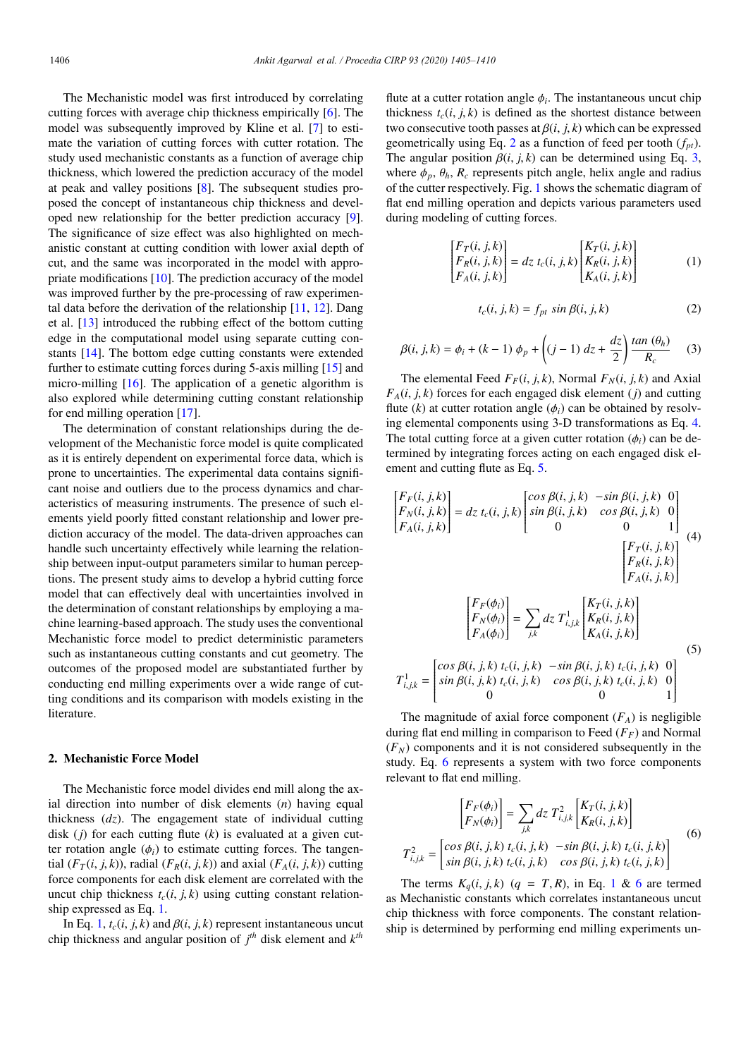The Mechanistic model was first introduced by correlating cutting forces with average chip thickness empirically [6]. The model was subsequently improved by Kline et al. [7] to estimate the variation of cutting forces with cutter rotation. The study used mechanistic constants as a function of average chip thickness, which lowered the prediction accuracy of the model at peak and valley positions [8]. The subsequent studies proposed the concept of instantaneous chip thickness and developed new relationship for the better prediction accuracy [9]. The significance of size effect was also highlighted on mechanistic constant at cutting condition with lower axial depth of cut, and the same was incorporated in the model with appropriate modifications [10]. The prediction accuracy of the model was improved further by the pre-processing of raw experimental data before the derivation of the relationship [11, 12]. Dang et al. [13] introduced the rubbing effect of the bottom cutting edge in the computational model using separate cutting constants [14]. The bottom edge cutting constants were extended further to estimate cutting forces during 5-axis milling [15] and micro-milling [16]. The application of a genetic algorithm is also explored while determining cutting constant relationship for end milling operation [17].

The determination of constant relationships during the development of the Mechanistic force model is quite complicated as it is entirely dependent on experimental force data, which is prone to uncertainties. The experimental data contains significant noise and outliers due to the process dynamics and characteristics of measuring instruments. The presence of such elements yield poorly fitted constant relationship and lower prediction accuracy of the model. The data-driven approaches can handle such uncertainty effectively while learning the relationship between input-output parameters similar to human perceptions. The present study aims to develop a hybrid cutting force model that can effectively deal with uncertainties involved in the determination of constant relationships by employing a machine learning-based approach. The study uses the conventional Mechanistic force model to predict deterministic parameters such as instantaneous cutting constants and cut geometry. The outcomes of the proposed model are substantiated further by conducting end milling experiments over a wide range of cutting conditions and its comparison with models existing in the literature.

## 2. Mechanistic Force Model

The Mechanistic force model divides end mill along the axial direction into number of disk elements (*n*) having equal thickness (*dz*). The engagement state of individual cutting disk (*j*) for each cutting flute (*k*) is evaluated at a given cutter rotation angle  $(\phi_i)$  to estimate cutting forces. The tangential  $(F_T(i, j, k))$ , radial  $(F_R(i, j, k))$  and axial  $(F_A(i, j, k))$  cutting force components for each disk element are correlated with the uncut chip thickness  $t_c(i, j, k)$  using cutting constant relationship expressed as Eq. 1.

In Eq. 1,  $t_c(i, j, k)$  and  $\beta(i, j, k)$  represent instantaneous uncut chip thickness and angular position of *j th* disk element and *k th*

flute at a cutter rotation angle  $\phi_i$ . The instantaneous uncut chip thickness  $t_c(i, j, k)$  is defined as the shortest distance between two consecutive tooth passes at  $\beta(i, j, k)$  which can be expressed geometrically using Eq. 2 as a function of feed per tooth (*fpt*). The angular position  $\beta(i, j, k)$  can be determined using Eq. 3, where  $\phi_p$ ,  $\theta_h$ ,  $R_c$  represents pitch angle, helix angle and radius of the cutter respectively. Fig. 1 shows the schematic diagram of flat end milling operation and depicts various parameters used during modeling of cutting forces.

$$
\begin{bmatrix} F_T(i,j,k) \\ F_R(i,j,k) \\ F_A(i,j,k) \end{bmatrix} = dz \ t_c(i,j,k) \begin{bmatrix} K_T(i,j,k) \\ K_R(i,j,k) \\ K_A(i,j,k) \end{bmatrix}
$$
 (1)

$$
t_c(i, j, k) = f_{pt} \sin \beta(i, j, k) \tag{2}
$$

$$
\beta(i, j, k) = \phi_i + (k - 1) \phi_p + \left( (j - 1) dz + \frac{dz}{2} \right) \frac{\tan (\theta_h)}{R_c}
$$
 (3)

The elemental Feed  $F_F(i, j, k)$ , Normal  $F_N(i, j, k)$  and Axial  $F_A(i, j, k)$  forces for each engaged disk element (*j*) and cutting flute  $(k)$  at cutter rotation angle  $(\phi_i)$  can be obtained by resolving elemental components using 3-D transformations as Eq. 4. The total cutting force at a given cutter rotation  $(\phi_i)$  can be determined by integrating forces acting on each engaged disk element and cutting flute as Eq. 5.

$$
\begin{bmatrix}\nF_F(i, j, k) \\
F_N(i, j, k)\n\end{bmatrix} = dz \ t_c(i, j, k) \begin{bmatrix}\n\cos \beta(i, j, k) & -\sin \beta(i, j, k) & 0 \\
\sin \beta(i, j, k) & \cos \beta(i, j, k) & 0 \\
0 & 0 & 1\n\end{bmatrix}
$$
\n
$$
\begin{bmatrix}\nF_T(i, j, k) \\
F_R(i, j, k)\n\end{bmatrix} = \n\begin{bmatrix}\nF_F(\phi_i) \\
F_R(i, j, k)\n\end{bmatrix}
$$
\n
$$
\begin{bmatrix}\nF_F(\phi_i) \\
F_R(i, j, k)\n\end{bmatrix} = \n\begin{bmatrix}\nF_F(\phi_i) \\
F_A(\phi_i)\n\end{bmatrix} = \n\begin{bmatrix}\n\sin \beta(i, j, k) \ t_c(i, j, k) & -\sin \beta(i, j, k) \ t_c(i, j, k)\n\end{bmatrix}
$$
\n(5)\n
$$
T_{i,j,k}^1 = \n\begin{bmatrix}\n\cos \beta(i, j, k) \ t_c(i, j, k) & -\sin \beta(i, j, k) \ t_c(i, j, k) & 0 \\
0 & 0 & 0\n\end{bmatrix}
$$

The magnitude of axial force component  $(F_A)$  is negligible during flat end milling in comparison to Feed (*FF*) and Normal  $(F<sub>N</sub>)$  components and it is not considered subsequently in the study. Eq. 6 represents a system with two force components relevant to flat end milling.

$$
\begin{bmatrix}\nF_F(\phi_i) \\
F_N(\phi_i)\n\end{bmatrix} = \sum_{j,k} dz \ T_{i,j,k}^2 \begin{bmatrix}\nK_T(i, j, k) \\
K_R(i, j, k)\n\end{bmatrix}
$$
\n(6)\n
$$
T_{i,j,k}^2 = \begin{bmatrix}\n\cos \beta(i, j, k) \ t_c(i, j, k) & -\sin \beta(i, j, k) \ t_c(i, j, k) \\
\sin \beta(i, j, k) \ t_c(i, j, k) & \cos \beta(i, j, k) \ t_c(i, j, k)\n\end{bmatrix}
$$

The terms  $K_q(i, j, k)$  ( $q = T, R$ ), in Eq. 1 & 6 are termed as Mechanistic constants which correlates instantaneous uncut chip thickness with force components. The constant relationship is determined by performing end milling experiments un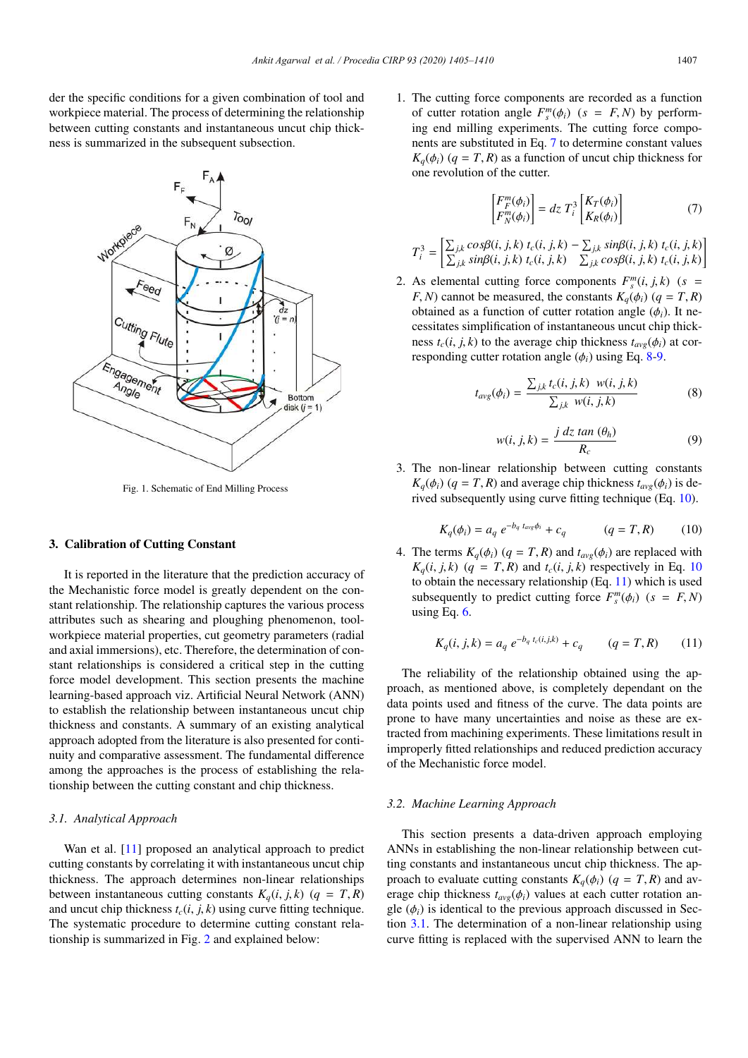der the specific conditions for a given combination of tool and workpiece material. The process of determining the relationship between cutting constants and instantaneous uncut chip thickness is summarized in the subsequent subsection.



Fig. 1. Schematic of End Milling Process

# 3. Calibration of Cutting Constant

It is reported in the literature that the prediction accuracy of the Mechanistic force model is greatly dependent on the constant relationship. The relationship captures the various process attributes such as shearing and ploughing phenomenon, toolworkpiece material properties, cut geometry parameters (radial and axial immersions), etc. Therefore, the determination of constant relationships is considered a critical step in the cutting force model development. This section presents the machine learning-based approach viz. Artificial Neural Network (ANN) to establish the relationship between instantaneous uncut chip thickness and constants. A summary of an existing analytical approach adopted from the literature is also presented for continuity and comparative assessment. The fundamental difference among the approaches is the process of establishing the relationship between the cutting constant and chip thickness.

# *3.1. Analytical Approach*

Wan et al. [11] proposed an analytical approach to predict cutting constants by correlating it with instantaneous uncut chip thickness. The approach determines non-linear relationships between instantaneous cutting constants  $K_q(i, j, k)$  ( $q = T, R$ ) and uncut chip thickness  $t_c(i, j, k)$  using curve fitting technique. The systematic procedure to determine cutting constant relationship is summarized in Fig. 2 and explained below:

1. The cutting force components are recorded as a function of cutter rotation angle  $F_s^m(\phi_i)$  ( $s = F, N$ ) by performing end milling experiments. The cutting force components are substituted in Eq. 7 to determine constant values  $K_q(\phi_i)$  (*q* = *T*, *R*) as a function of uncut chip thickness for one revolution of the cutter.

$$
\begin{bmatrix} F_F^m(\phi_i) \\ F_N^m(\phi_i) \end{bmatrix} = dz \ T_i^3 \begin{bmatrix} K_T(\phi_i) \\ K_R(\phi_i) \end{bmatrix} \tag{7}
$$

$$
T_i^3 = \left[\frac{\sum_{j,k} cos\beta(i, j, k) t_c(i, j, k) - \sum_{j,k} sin\beta(i, j, k) t_c(i, j, k)}{\sum_{j,k} sin\beta(i, j, k) t_c(i, j, k) - \sum_{j,k} cos\beta(i, j, k) t_c(i, j, k)}\right]
$$

2. As elemental cutting force components  $F_s^m(i, j, k)$  ( $s =$ *F*, *N*) cannot be measured, the constants  $K_a(\phi_i)$  ( $q = T, R$ ) obtained as a function of cutter rotation angle  $(\phi_i)$ . It necessitates simplification of instantaneous uncut chip thickness  $t_c(i, j, k)$  to the average chip thickness  $t_{avg}(\phi_i)$  at corresponding cutter rotation angle  $(\phi_i)$  using Eq. 8-9.

$$
t_{avg}(\phi_i) = \frac{\sum_{j,k} t_c(i, j, k) \ w(i, j, k)}{\sum_{j,k} w(i, j, k)}
$$
(8)

$$
w(i, j, k) = \frac{j \, dz \tan (\theta_h)}{R_c} \tag{9}
$$

3. The non-linear relationship between cutting constants  $K_q(\phi_i)$  (*q* = *T*, *R*) and average chip thickness  $t_{avg}(\phi_i)$  is derived subsequently using curve fitting technique (Eq. 10).

$$
K_q(\phi_i) = a_q \, e^{-b_q \, t_{avg} \phi_i} + c_q \qquad (q = T, R) \qquad (10)
$$

4. The terms  $K_q(\phi_i)$  ( $q = T, R$ ) and  $t_{avg}(\phi_i)$  are replaced with  $K_q(i, j, k)$  ( $q = T, R$ ) and  $t_c(i, j, k)$  respectively in Eq. 10 to obtain the necessary relationship (Eq. 11) which is used subsequently to predict cutting force  $F_s^m(\phi_i)$  ( $s = F, N$ ) using Eq. 6.

$$
K_q(i, j, k) = a_q e^{-b_q t_c(i, j, k)} + c_q \qquad (q = T, R) \qquad (11)
$$

The reliability of the relationship obtained using the approach, as mentioned above, is completely dependant on the data points used and fitness of the curve. The data points are prone to have many uncertainties and noise as these are extracted from machining experiments. These limitations result in improperly fitted relationships and reduced prediction accuracy of the Mechanistic force model.

## *3.2. Machine Learning Approach*

This section presents a data-driven approach employing ANNs in establishing the non-linear relationship between cutting constants and instantaneous uncut chip thickness. The approach to evaluate cutting constants  $K_q(\phi_i)$  ( $q = T, R$ ) and average chip thickness  $t_{\text{ave}}(\phi_i)$  values at each cutter rotation angle  $(\phi_i)$  is identical to the previous approach discussed in Section 3.1. The determination of a non-linear relationship using curve fitting is replaced with the supervised ANN to learn the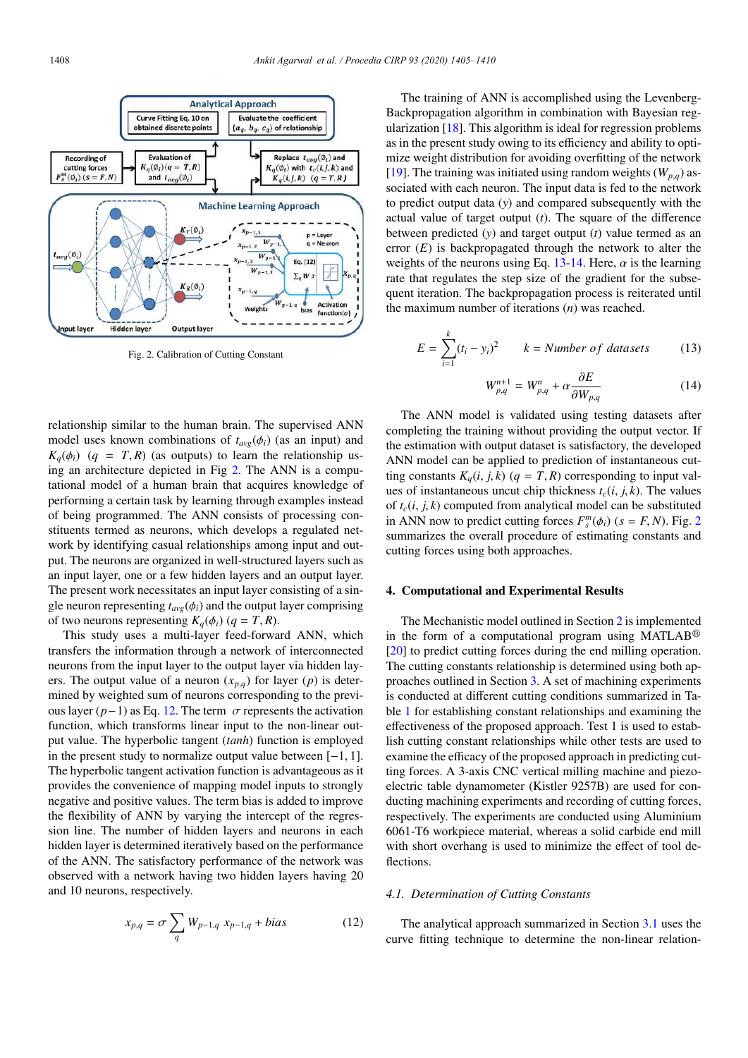

Fig. 2. Calibration of Cutting Constant

relationship similar to the human brain. The supervised ANN model uses known combinations of  $t_{avg}(\phi_i)$  (as an input) and  $K_q(\phi_i)$  (*q* = *T*, *R*) (as outputs) to learn the relationship using an architecture depicted in Fig 2. The ANN is a computational model of a human brain that acquires knowledge of performing a certain task by learning through examples instead of being programmed. The ANN consists of processing constituents termed as neurons, which develops a regulated network by identifying casual relationships among input and output. The neurons are organized in well-structured layers such as an input layer, one or a few hidden layers and an output layer. The present work necessitates an input layer consisting of a single neuron representing  $t_{avg}(\phi_i)$  and the output layer comprising of two neurons representing  $K_q(\phi_i)$  ( $q = T, R$ ).

This study uses a multi-layer feed-forward ANN, which transfers the information through a network of interconnected neurons from the input layer to the output layer via hidden layers. The output value of a neuron  $(x_{p,q})$  for layer  $(p)$  is determined by weighted sum of neurons corresponding to the previous layer  $(p-1)$  as Eq. 12. The term  $\sigma$  represents the activation function, which transforms linear input to the non-linear output value. The hyperbolic tangent (*tanh*) function is employed in the present study to normalize output value between [−1, 1]. The hyperbolic tangent activation function is advantageous as it provides the convenience of mapping model inputs to strongly negative and positive values. The term bias is added to improve the flexibility of ANN by varying the intercept of the regression line. The number of hidden layers and neurons in each hidden layer is determined iteratively based on the performance of the ANN. The satisfactory performance of the network was observed with a network having two hidden layers having 20 and 10 neurons, respectively.

$$
x_{p,q} = \sigma \sum_{q} W_{p-1,q} x_{p-1,q} + bias \tag{12}
$$

The training of ANN is accomplished using the Levenberg-Backpropagation algorithm in combination with Bayesian regularization [18]. This algorithm is ideal for regression problems as in the present study owing to its efficiency and ability to optimize weight distribution for avoiding overfitting of the network [19]. The training was initiated using random weights  $(W_{p,q})$  associated with each neuron. The input data is fed to the network to predict output data (*y*) and compared subsequently with the actual value of target output (*t*). The square of the difference between predicted (*y*) and target output (*t*) value termed as an error (*E*) is backpropagated through the network to alter the weights of the neurons using Eq. 13-14. Here,  $\alpha$  is the learning rate that regulates the step size of the gradient for the subsequent iteration. The backpropagation process is reiterated until the maximum number of iterations (*n*) was reached.

$$
E = \sum_{i=1}^{k} (t_i - y_i)^2 \qquad k = Number \ of \ datasets \tag{13}
$$

$$
W_{p,q}^{n+1} = W_{p,q}^n + \alpha \frac{\partial E}{\partial W_{p,q}}
$$
(14)

The ANN model is validated using testing datasets after completing the training without providing the output vector. If the estimation with output dataset is satisfactory, the developed ANN model can be applied to prediction of instantaneous cutting constants  $K_a(i, j, k)$  ( $q = T, R$ ) corresponding to input values of instantaneous uncut chip thickness  $t_c$ (*i*, *j*, *k*). The values of  $t_c(i, j, k)$  computed from analytical model can be substituted in ANN now to predict cutting forces  $F_s^m(\phi_i)$  ( $s = F, N$ ). Fig. 2 summarizes the overall procedure of estimating constants and cutting forces using both approaches.

#### 4. Computational and Experimental Results

The Mechanistic model outlined in Section 2 is implemented in the form of a computational program using MATLAB<sup>®</sup> [20] to predict cutting forces during the end milling operation. The cutting constants relationship is determined using both approaches outlined in Section 3. A set of machining experiments is conducted at different cutting conditions summarized in Table 1 for establishing constant relationships and examining the effectiveness of the proposed approach. Test 1 is used to establish cutting constant relationships while other tests are used to examine the efficacy of the proposed approach in predicting cutting forces. A 3-axis CNC vertical milling machine and piezoelectric table dynamometer (Kistler 9257B) are used for conducting machining experiments and recording of cutting forces, respectively. The experiments are conducted using Aluminium 6061-T6 workpiece material, whereas a solid carbide end mill with short overhang is used to minimize the effect of tool deflections.

#### *4.1. Determination of Cutting Constants*

The analytical approach summarized in Section 3.1 uses the curve fitting technique to determine the non-linear relation-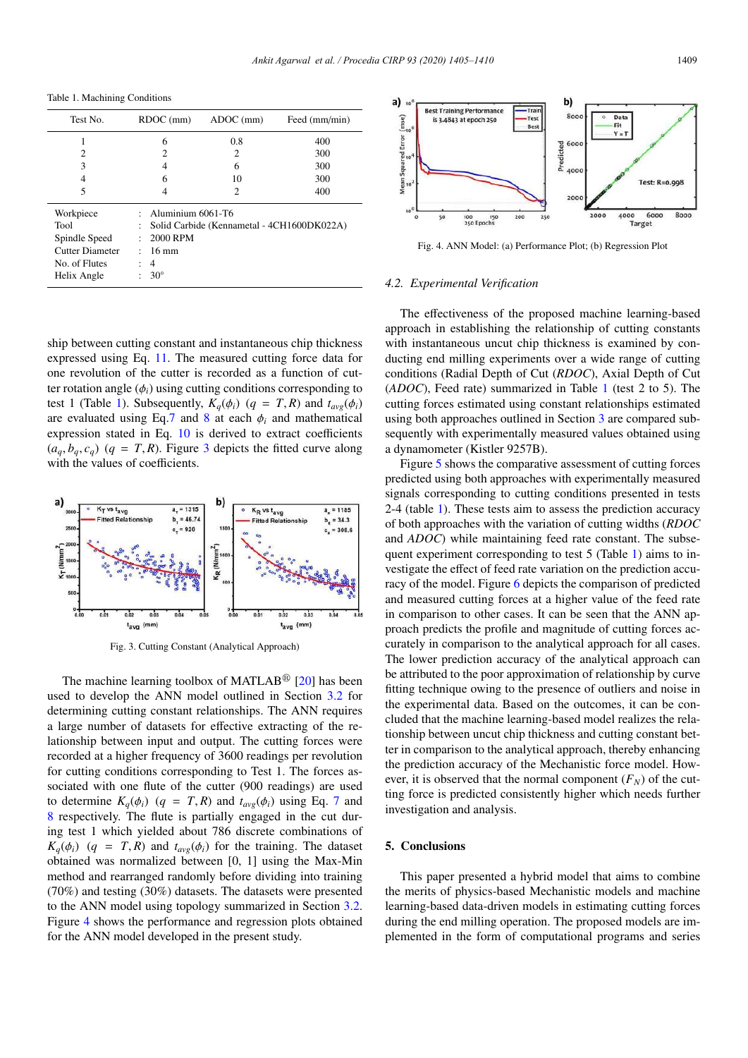Table 1. Machining Conditions

| Test No.        | RDOC (mm)                                       | ADC (mm) | Feed (mm/min) |
|-----------------|-------------------------------------------------|----------|---------------|
|                 | 6                                               | 0.8      | 400           |
| $\overline{c}$  | っ                                               | 2        | 300           |
| 3               | 4                                               | 6        | 300           |
| 4               | 6                                               | 10       | 300           |
| 5               | 4                                               | 2        | 400           |
| Workpiece       | Aluminium 6061-T6                               |          |               |
| Tool            | Solid Carbide (Kennametal - 4CH1600DK022A)<br>÷ |          |               |
| Spindle Speed   | 2000 RPM<br>÷                                   |          |               |
| Cutter Diameter | $16 \text{ mm}$                                 |          |               |
| No. of Flutes   | 4                                               |          |               |
| Helix Angle     | $30^{\circ}$                                    |          |               |

ship between cutting constant and instantaneous chip thickness expressed using Eq. 11. The measured cutting force data for one revolution of the cutter is recorded as a function of cutter rotation angle  $(\phi_i)$  using cutting conditions corresponding to test 1 (Table 1). Subsequently,  $K_q(\phi_i)$  ( $q = T, R$ ) and  $t_{avg}(\phi_i)$ are evaluated using Eq.7 and 8 at each  $\phi_i$  and mathematical expression stated in Eq. 10 is derived to extract coefficients  $(a_q, b_q, c_q)$  ( $q = T, R$ ). Figure 3 depicts the fitted curve along with the values of coefficients.



Fig. 3. Cutting Constant (Analytical Approach)

The machine learning toolbox of MATLAB<sup>®</sup> [20] has been used to develop the ANN model outlined in Section 3.2 for determining cutting constant relationships. The ANN requires a large number of datasets for effective extracting of the relationship between input and output. The cutting forces were recorded at a higher frequency of 3600 readings per revolution for cutting conditions corresponding to Test 1. The forces associated with one flute of the cutter (900 readings) are used to determine  $K_q(\phi_i)$  ( $q = T, R$ ) and  $t_{avg}(\phi_i)$  using Eq. 7 and 8 respectively. The flute is partially engaged in the cut during test 1 which yielded about 786 discrete combinations of  $K_q(\phi_i)$  (*q* = *T*, *R*) and  $t_{avg}(\phi_i)$  for the training. The dataset obtained was normalized between [0, 1] using the Max-Min method and rearranged randomly before dividing into training (70%) and testing (30%) datasets. The datasets were presented to the ANN model using topology summarized in Section 3.2. Figure 4 shows the performance and regression plots obtained for the ANN model developed in the present study.



Fig. 4. ANN Model: (a) Performance Plot; (b) Regression Plot

## *4.2. Experimental Verification*

The effectiveness of the proposed machine learning-based approach in establishing the relationship of cutting constants with instantaneous uncut chip thickness is examined by conducting end milling experiments over a wide range of cutting conditions (Radial Depth of Cut (*RDOC*), Axial Depth of Cut (*ADOC*), Feed rate) summarized in Table 1 (test 2 to 5). The cutting forces estimated using constant relationships estimated using both approaches outlined in Section 3 are compared subsequently with experimentally measured values obtained using a dynamometer (Kistler 9257B).

Figure 5 shows the comparative assessment of cutting forces predicted using both approaches with experimentally measured signals corresponding to cutting conditions presented in tests 2-4 (table 1). These tests aim to assess the prediction accuracy of both approaches with the variation of cutting widths (*RDOC* and *ADOC*) while maintaining feed rate constant. The subsequent experiment corresponding to test 5 (Table 1) aims to investigate the effect of feed rate variation on the prediction accuracy of the model. Figure 6 depicts the comparison of predicted and measured cutting forces at a higher value of the feed rate in comparison to other cases. It can be seen that the ANN approach predicts the profile and magnitude of cutting forces accurately in comparison to the analytical approach for all cases. The lower prediction accuracy of the analytical approach can be attributed to the poor approximation of relationship by curve fitting technique owing to the presence of outliers and noise in the experimental data. Based on the outcomes, it can be concluded that the machine learning-based model realizes the relationship between uncut chip thickness and cutting constant better in comparison to the analytical approach, thereby enhancing the prediction accuracy of the Mechanistic force model. However, it is observed that the normal component  $(F_N)$  of the cutting force is predicted consistently higher which needs further investigation and analysis.

## 5. Conclusions

This paper presented a hybrid model that aims to combine the merits of physics-based Mechanistic models and machine learning-based data-driven models in estimating cutting forces during the end milling operation. The proposed models are implemented in the form of computational programs and series